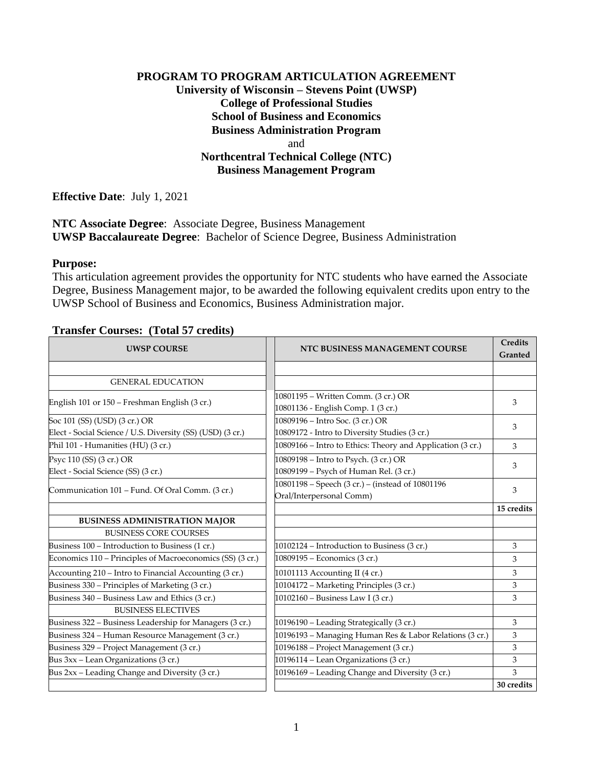# **PROGRAM TO PROGRAM ARTICULATION AGREEMENT University of Wisconsin – Stevens Point (UWSP) College of Professional Studies School of Business and Economics Business Administration Program** and **Northcentral Technical College (NTC) Business Management Program**

**Effective Date**: July 1, 2021

**NTC Associate Degree**: Associate Degree, Business Management **UWSP Baccalaureate Degree**: Bachelor of Science Degree, Business Administration

#### **Purpose:**

This articulation agreement provides the opportunity for NTC students who have earned the Associate Degree, Business Management major, to be awarded the following equivalent credits upon entry to the UWSP School of Business and Economics, Business Administration major.

### **Transfer Courses: (Total 57 credits)**

| <b>UWSP COURSE</b>                                         | NTC BUSINESS MANAGEMENT COURSE                                            | <b>Credits</b><br>Granted |
|------------------------------------------------------------|---------------------------------------------------------------------------|---------------------------|
|                                                            |                                                                           |                           |
| <b>GENERAL EDUCATION</b>                                   |                                                                           |                           |
| English 101 or 150 – Freshman English (3 cr.)              | 10801195 - Written Comm. (3 cr.) OR<br>10801136 - English Comp. 1 (3 cr.) | 3                         |
| Soc 101 (SS) (USD) (3 cr.) OR                              | 10809196 – Intro Soc. (3 cr.) OR                                          | 3                         |
| Elect - Social Science / U.S. Diversity (SS) (USD) (3 cr.) | 10809172 - Intro to Diversity Studies (3 cr.)                             |                           |
| Phil 101 - Humanities (HU) (3 cr.)                         | 10809166 - Intro to Ethics: Theory and Application (3 cr.)                | 3                         |
| Psyc 110 (SS) (3 cr.) OR                                   | 10809198 - Intro to Psych. (3 cr.) OR                                     | 3                         |
| Elect - Social Science (SS) (3 cr.)                        | 10809199 - Psych of Human Rel. (3 cr.)                                    |                           |
|                                                            | 10801198 - Speech (3 cr.) - (instead of 10801196                          | 3                         |
| Communication 101 - Fund. Of Oral Comm. (3 cr.)            | Oral/Interpersonal Comm)                                                  |                           |
|                                                            |                                                                           | 15 credits                |
| <b>BUSINESS ADMINISTRATION MAJOR</b>                       |                                                                           |                           |
| <b>BUSINESS CORE COURSES</b>                               |                                                                           |                           |
| Business 100 - Introduction to Business (1 cr.)            | 10102124 - Introduction to Business (3 cr.)                               | 3                         |
| Economics 110 - Principles of Macroeconomics (SS) (3 cr.)  | 10809195 - Economics (3 cr.)                                              | 3                         |
| Accounting 210 - Intro to Financial Accounting (3 cr.)     | 10101113 Accounting II (4 cr.)                                            | 3                         |
| Business 330 – Principles of Marketing (3 cr.)             | 10104172 - Marketing Principles (3 cr.)                                   | 3                         |
| Business 340 - Business Law and Ethics (3 cr.)             | 10102160 - Business Law I (3 cr.)                                         | 3                         |
| <b>BUSINESS ELECTIVES</b>                                  |                                                                           |                           |
| Business 322 - Business Leadership for Managers (3 cr.)    | 10196190 - Leading Strategically (3 cr.)                                  | 3                         |
| Business 324 - Human Resource Management (3 cr.)           | 10196193 – Managing Human Res & Labor Relations (3 cr.)                   | 3                         |
| Business 329 - Project Management (3 cr.)                  | 10196188 - Project Management (3 cr.)                                     | 3                         |
| Bus 3xx - Lean Organizations (3 cr.)                       | $\overline{101961}14$ – Lean Organizations (3 cr.)                        | 3                         |
| Bus 2xx - Leading Change and Diversity (3 cr.)             | 10196169 - Leading Change and Diversity (3 cr.)                           | 3                         |
|                                                            |                                                                           | 30 credits                |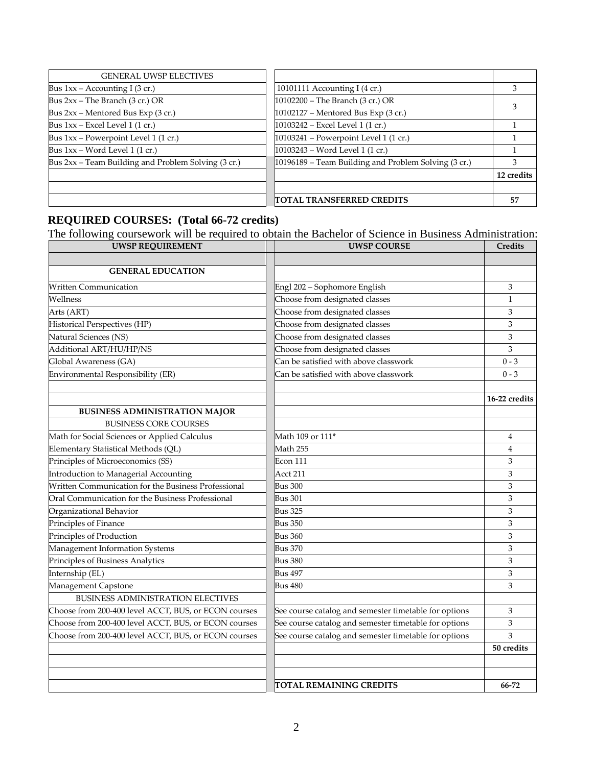| <b>GENERAL UWSP ELECTIVES</b>                       |                                                      |            |
|-----------------------------------------------------|------------------------------------------------------|------------|
| Bus $1xx -$ Accounting I (3 cr.)                    | 10101111 Accounting I $(4 \text{ cr.})$              | 3          |
| Bus $2xx$ – The Branch (3 cr.) OR                   | 10102200 - The Branch (3 cr.) OR                     |            |
| Bus 2xx – Mentored Bus Exp (3 cr.)                  | 10102127 - Mentored Bus Exp (3 cr.)                  |            |
| Bus $1xx$ – Excel Level 1 (1 cr.)                   | 10103242 - Excel Level 1 (1 cr.)                     |            |
| Bus 1xx – Powerpoint Level 1 (1 cr.)                | 10103241 – Powerpoint Level 1 (1 cr.)                |            |
| Bus $1xx - Word Level 1 (1 cr.)$                    | 10103243 - Word Level 1 (1 cr.)                      |            |
| Bus 2xx – Team Building and Problem Solving (3 cr.) | 10196189 – Team Building and Problem Solving (3 cr.) | З          |
|                                                     |                                                      | 12 credits |
|                                                     |                                                      |            |
|                                                     | TOTAL TRANSFERRED CREDITS                            | 57         |

### **REQUIRED COURSES: (Total 66-72 credits)**

The following coursework will be required to obtain the Bachelor of Science in Business Administration:

| <b>UWSP REQUIREMENT</b>                              | <b>UWSP COURSE</b>                                    | Credits       |
|------------------------------------------------------|-------------------------------------------------------|---------------|
|                                                      |                                                       |               |
| <b>GENERAL EDUCATION</b>                             |                                                       |               |
| <b>Written Communication</b>                         | Engl 202 - Sophomore English                          | 3             |
| Wellness                                             | Choose from designated classes                        | $\mathbf{1}$  |
| Arts (ART)                                           | Choose from designated classes                        | 3             |
| Historical Perspectives (HP)                         | Choose from designated classes                        | 3             |
| Natural Sciences (NS)                                | Choose from designated classes                        | 3             |
| Additional ART/HU/HP/NS                              | Choose from designated classes                        | 3             |
| Global Awareness (GA)                                | Can be satisfied with above classwork                 | $0 - 3$       |
| Environmental Responsibility (ER)                    | Can be satisfied with above classwork                 | $0 - 3$       |
|                                                      |                                                       |               |
|                                                      |                                                       | 16-22 credits |
| <b>BUSINESS ADMINISTRATION MAJOR</b>                 |                                                       |               |
| <b>BUSINESS CORE COURSES</b>                         |                                                       |               |
| Math for Social Sciences or Applied Calculus         | Math 109 or 111*                                      | 4             |
| Elementary Statistical Methods (QL)                  | Math 255                                              | 4             |
| Principles of Microeconomics (SS)                    | Econ 111                                              | 3             |
| Introduction to Managerial Accounting                | Acct 211                                              | 3             |
| Written Communication for the Business Professional  | <b>Bus 300</b>                                        | 3             |
| Oral Communication for the Business Professional     | <b>Bus 301</b>                                        | 3             |
| Organizational Behavior                              | <b>Bus 325</b>                                        | 3             |
| Principles of Finance                                | <b>Bus 350</b>                                        | 3             |
| Principles of Production                             | <b>Bus 360</b>                                        | 3             |
| Management Information Systems                       | <b>Bus 370</b>                                        | 3             |
| Principles of Business Analytics                     | Bus 380                                               | 3             |
| Internship (EL)                                      | Bus 497                                               | 3             |
| Management Capstone                                  | <b>Bus 480</b>                                        | 3             |
| BUSINESS ADMINISTRATION ELECTIVES                    |                                                       |               |
| Choose from 200-400 level ACCT, BUS, or ECON courses | See course catalog and semester timetable for options | 3             |
| Choose from 200-400 level ACCT, BUS, or ECON courses | See course catalog and semester timetable for options | 3             |
| Choose from 200-400 level ACCT, BUS, or ECON courses | See course catalog and semester timetable for options | 3             |
|                                                      |                                                       | 50 credits    |
|                                                      |                                                       |               |
|                                                      |                                                       |               |
|                                                      | <b>TOTAL REMAINING CREDITS</b>                        | 66-72         |